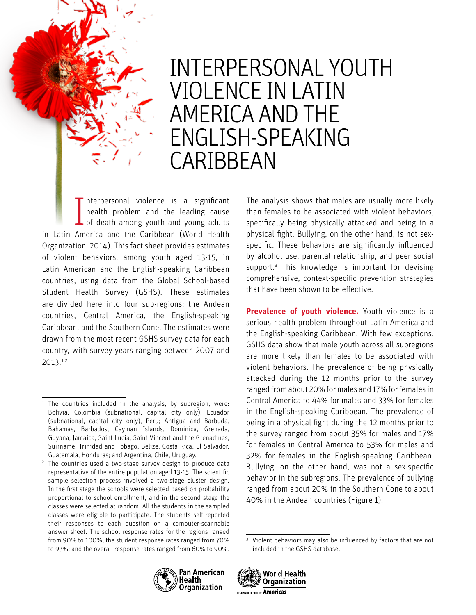

I nterpersonal violence is a significant<br>health problem and the leading cause<br>of death among youth and young adults nterpersonal violence is a significant health problem and the leading cause in Latin America and the Caribbean (World Health Organization, 2014). This fact sheet provides estimates of violent behaviors, among youth aged 13-15, in Latin American and the English-speaking Caribbean countries, using data from the Global School-based Student Health Survey (GSHS). These estimates are divided here into four sub-regions: the Andean countries, Central America, the English-speaking Caribbean, and the Southern Cone. The estimates were drawn from the most recent GSHS survey data for each country, with survey years ranging between 2007 and 2013.<sup>1</sup>,<sup>2</sup>

<sup>2</sup> The countries used a two-stage survey design to produce data representative of the entire population aged 13-15. The scientific sample selection process involved a two-stage cluster design. In the first stage the schools were selected based on probability proportional to school enrollment, and in the second stage the classes were selected at random. All the students in the sampled classes were eligible to participate. The students self-reported their responses to each question on a computer-scannable answer sheet. The school response rates for the regions ranged from 90% to 100%; the student response rates ranged from 70% to 93%; and the overall response rates ranged from 60% to 90%.

The analysis shows that males are usually more likely than females to be associated with violent behaviors, specifically being physically attacked and being in a physical fight. Bullying, on the other hand, is not sexspecific. These behaviors are significantly influenced by alcohol use, parental relationship, and peer social support.<sup>3</sup> This knowledge is important for devising comprehensive, context-specific prevention strategies that have been shown to be effective.

**Prevalence of youth violence.** Youth violence is a serious health problem throughout Latin America and the English-speaking Caribbean. With few exceptions, GSHS data show that male youth across all subregions are more likely than females to be associated with violent behaviors. The prevalence of being physically attacked during the 12 months prior to the survey ranged from about 20% for males and 17% for females in Central America to 44% for males and 33% for females in the English-speaking Caribbean. The prevalence of being in a physical fight during the 12 months prior to the survey ranged from about 35% for males and 17% for females in Central America to 53% for males and 32% for females in the English-speaking Caribbean. Bullying, on the other hand, was not a sex-specific behavior in the subregions. The prevalence of bullying ranged from about 20% in the Southern Cone to about 40% in the Andean countries (Figure 1).

<sup>&</sup>lt;sup>3</sup> Violent behaviors may also be influenced by factors that are not included in the GSHS database.





<sup>&</sup>lt;sup>1</sup> The countries included in the analysis, by subregion, were: Bolivia, Colombia (subnational, capital city only), Ecuador (subnational, capital city only), Peru; Antigua and Barbuda, Bahamas, Barbados, Cayman Islands, Dominica, Grenada, Guyana, Jamaica, Saint Lucia, Saint Vincent and the Grenadines, Suriname, Trinidad and Tobago; Belize, Costa Rica, El Salvador, Guatemala, Honduras; and Argentina, Chile, Uruguay.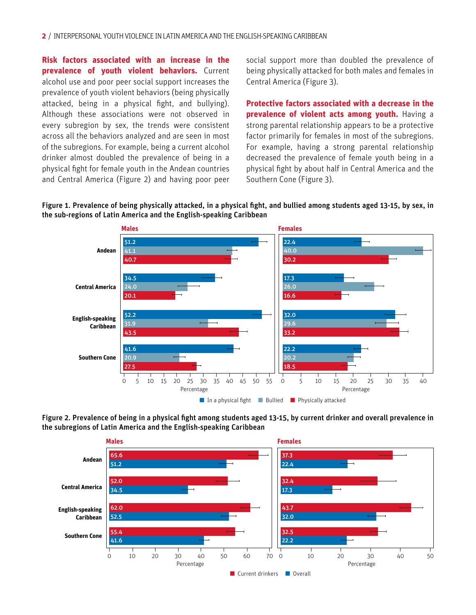**Risk factors associated with an increase in the prevalence of youth violent behaviors.** Current alcohol use and poor peer social support increases the prevalence of youth violent behaviors (being physically attacked, being in a physical fight, and bullying). Although these associations were not observed in every subregion by sex, the trends were consistent across all the behaviors analyzed and are seen in most of the subregions. For example, being a current alcohol drinker almost doubled the prevalence of being in a physical fight for female youth in the Andean countries and Central America (Figure 2) and having poor peer social support more than doubled the prevalence of being physically attacked for both males and females in Central America (Figure 3).

**Protective factors associated with a decrease in the prevalence of violent acts among youth.** Having a strong parental relationship appears to be a protective factor primarily for females in most of the subregions. For example, having a strong parental relationship decreased the prevalence of female youth being in a physical fight by about half in Central America and the Southern Cone (Figure 3).

#### Figure 1. Prevalence of being physically attacked, in a physical fight, and bullied among students aged 13-15, by sex, in the sub-regions of Latin America and the English-speaking Caribbean



Figure 2. Prevalence of being in a physical fight among students aged 13-15, by current drinker and overall prevalence in the subregions of Latin America and the English-speaking Caribbean

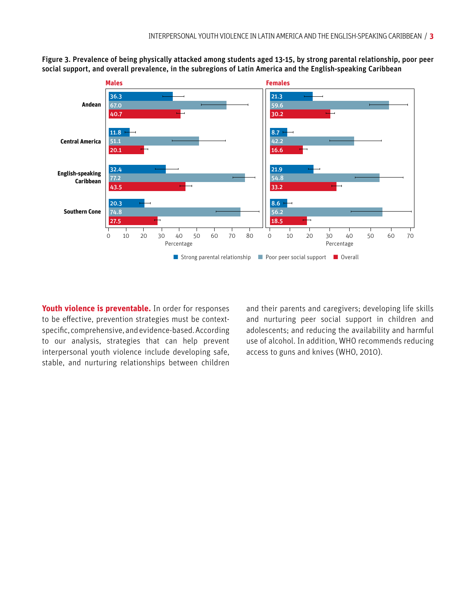

Figure 3. Prevalence of being physically attacked among students aged 13-15, by strong parental relationship, poor peer social support, and overall prevalence, in the subregions of Latin America and the English-speaking Caribbean

**Youth violence is preventable.** In order for responses to be effective, prevention strategies must be contextspecific, comprehensive, and evidence-based. According to our analysis, strategies that can help prevent interpersonal youth violence include developing safe, stable, and nurturing relationships between children and their parents and caregivers; developing life skills and nurturing peer social support in children and adolescents; and reducing the availability and harmful use of alcohol. In addition, WHO recommends reducing access to guns and knives (WHO, 2010).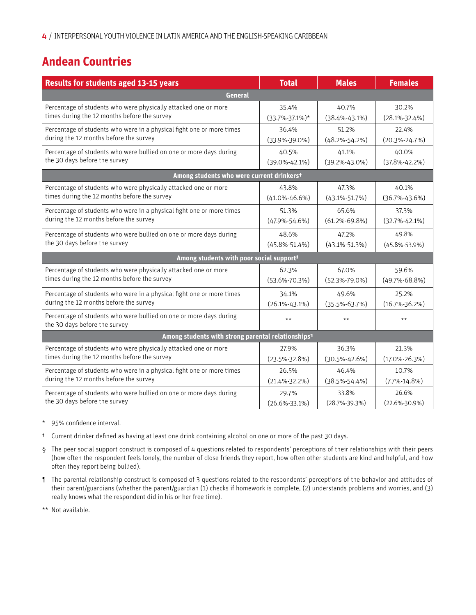## **Andean Countries**

| <b>Results for students aged 13-15 years</b>                                                        | <b>Total</b>         | <b>Males</b>        | <b>Females</b>      |  |  |
|-----------------------------------------------------------------------------------------------------|----------------------|---------------------|---------------------|--|--|
| General                                                                                             |                      |                     |                     |  |  |
| Percentage of students who were physically attacked one or more                                     | 35.4%                | 40.7%               | 30.2%               |  |  |
| times during the 12 months before the survey                                                        | $(33.7\% - 37.1\%)*$ | $(38.4\% - 43.1\%)$ | $(28.1\% - 32.4\%)$ |  |  |
| Percentage of students who were in a physical fight one or more times                               | 36.4%                | 51.2%               | 22.4%               |  |  |
| during the 12 months before the survey                                                              | $(33.9\% - 39.0\%)$  | $(48.2\% - 54.2\%)$ | $(20.3\% - 24.7\%)$ |  |  |
| Percentage of students who were bullied on one or more days during                                  | 40.5%                | 41.1%               | 40.0%               |  |  |
| the 30 days before the survey                                                                       | $(39.0\% - 42.1\%)$  | $(39.2\% - 43.0\%)$ | $(37.8\% - 42.2\%)$ |  |  |
| Among students who were current drinkerst                                                           |                      |                     |                     |  |  |
| Percentage of students who were physically attacked one or more                                     | 43.8%                | 47.3%               | 40.1%               |  |  |
| times during the 12 months before the survey                                                        | $(41.0\% - 46.6\%)$  | $(43.1\% - 51.7\%)$ | $(36.7\% - 43.6\%)$ |  |  |
| Percentage of students who were in a physical fight one or more times                               | 51.3%                | 65.6%               | 37.3%               |  |  |
| during the 12 months before the survey                                                              | $(47.9\% - 54.6\%)$  | $(61.2\% - 69.8\%)$ | $(32.7\% - 42.1\%)$ |  |  |
| Percentage of students who were bullied on one or more days during                                  | 48.6%                | 47.2%               | 49.8%               |  |  |
| the 30 days before the survey                                                                       | $(45.8\% - 51.4\%)$  | $(43.1\% - 51.3\%)$ | $(45.8\% - 53.9\%)$ |  |  |
| Among students with poor social support <sup>s</sup>                                                |                      |                     |                     |  |  |
| Percentage of students who were physically attacked one or more                                     | 62.3%                | 67.0%               | 59.6%               |  |  |
| times during the 12 months before the survey                                                        | $(53.6\% - 70.3\%)$  | $(52.3\% - 79.0\%)$ | $(49.7\% - 68.8\%)$ |  |  |
| Percentage of students who were in a physical fight one or more times                               | 34.1%                | 49.6%               | 25.2%               |  |  |
| during the 12 months before the survey                                                              | $(26.1\% - 43.1\%)$  | $(35.5\% - 63.7\%)$ | $(16.7\% - 36.2\%)$ |  |  |
| Percentage of students who were bullied on one or more days during<br>the 30 days before the survey | $***$                | $***$               | $***$               |  |  |
| Among students with strong parental relationships <sup>1</sup>                                      |                      |                     |                     |  |  |
| Percentage of students who were physically attacked one or more                                     | 27.9%                | 36.3%               | 21.3%               |  |  |
| times during the 12 months before the survey                                                        | $(23.5\% - 32.8\%)$  | $(30.5\% - 42.6\%)$ | $(17.0\% - 26.3\%)$ |  |  |
| Percentage of students who were in a physical fight one or more times                               | 26.5%                | 46.4%               | 10.7%               |  |  |
| during the 12 months before the survey                                                              | $(21.4\% - 32.2\%)$  | $(38.5\% - 54.4\%)$ | $(7.7\% - 14.8\%)$  |  |  |
| Percentage of students who were bullied on one or more days during                                  | 29.7%                | 33.8%               | 26.6%               |  |  |
| the 30 days before the survey                                                                       | $(26.6\% - 33.1\%)$  | $(28.7\% - 39.3\%)$ | $(22.6\% - 30.9\%)$ |  |  |

- \* 95% confidence interval.
- † Current drinker defined as having at least one drink containing alcohol on one or more of the past 30 days.
- § The peer social support construct is composed of 4 questions related to respondents' perceptions of their relationships with their peers (how often the respondent feels lonely, the number of close friends they report, how often other students are kind and helpful, and how often they report being bullied).
- ¶ The parental relationship construct is composed of 3 questions related to the respondents' perceptions of the behavior and attitudes of their parent/guardians (whether the parent/guardian (1) checks if homework is complete, (2) understands problems and worries, and (3) really knows what the respondent did in his or her free time).
- \*\* Not available.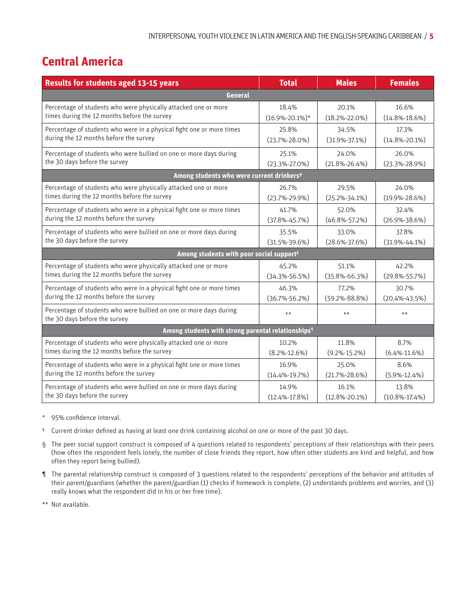# **Central America**

| <b>Results for students aged 13-15 years</b>                                                        | <b>Total</b>         | <b>Males</b>        | <b>Females</b>      |  |
|-----------------------------------------------------------------------------------------------------|----------------------|---------------------|---------------------|--|
| General                                                                                             |                      |                     |                     |  |
| Percentage of students who were physically attacked one or more                                     | 18.4%                | 20.1%               | 16.6%               |  |
| times during the 12 months before the survey                                                        | $(16.9\% - 20.1\%)*$ | $(18.2\% - 22.0\%)$ | $(14.8\% - 18.6\%)$ |  |
| Percentage of students who were in a physical fight one or more times                               | 25.8%                | 34.5%               | 17.3%               |  |
| during the 12 months before the survey                                                              | $(23.7\% - 28.0\%)$  | $(31.9\% - 37.1\%)$ | $(14.8\% - 20.1\%)$ |  |
| Percentage of students who were bullied on one or more days during                                  | 25.1%                | 24.0%               | 26.0%               |  |
| the 30 days before the survey                                                                       | $(23.3\% - 27.0\%)$  | $(21.8\% - 26.4\%)$ | $(23.3\% - 28.9\%)$ |  |
| Among students who were current drinkerst                                                           |                      |                     |                     |  |
| Percentage of students who were physically attacked one or more                                     | 26.7%                | 29.5%               | 24.0%               |  |
| times during the 12 months before the survey                                                        | $(23.7\% - 29.9\%)$  | $(25.2\% - 34.1\%)$ | $(19.9\% - 28.6\%)$ |  |
| Percentage of students who were in a physical fight one or more times                               | 41.7%                | 52.0%               | 32.4%               |  |
| during the 12 months before the survey                                                              | $(37.8\% - 45.7\%)$  | $(46.8\% - 57.2\%)$ | $(26.9\% - 38.6\%)$ |  |
| Percentage of students who were bullied on one or more days during                                  | 35.5%                | 33.0%               | 37.8%               |  |
| the 30 days before the survey                                                                       | $(31.5\% - 39.6\%)$  | $(28.6\% - 37.6\%)$ | $(31.9\% - 44.1\%)$ |  |
| Among students with poor social support <sup>s</sup>                                                |                      |                     |                     |  |
| Percentage of students who were physically attacked one or more                                     | 45.2%                | 51.1%               | 42.2%               |  |
| times during the 12 months before the survey                                                        | $(34.3\% - 56.5\%)$  | $(35.8\% - 66.3\%)$ | $(29.8\% - 55.7\%)$ |  |
| Percentage of students who were in a physical fight one or more times                               | 46.3%                | 77.2%               | 30.7%               |  |
| during the 12 months before the survey                                                              | $(36.7\% - 56.2\%)$  | $(59.2\% - 88.8\%)$ | $(20.4\% - 43.5\%)$ |  |
| Percentage of students who were bullied on one or more days during<br>the 30 days before the survey | $***$                | $***$               | $***$               |  |
| Among students with strong parental relationships <sup>1</sup>                                      |                      |                     |                     |  |
| Percentage of students who were physically attacked one or more                                     | 10.2%                | 11.8%               | 8.7%                |  |
| times during the 12 months before the survey                                                        | $(8.2\% - 12.6\%)$   | $(9.2\% - 15.2\%)$  | $(6.4\% - 11.6\%)$  |  |
| Percentage of students who were in a physical fight one or more times                               | 16.9%                | 25.0%               | 8.6%                |  |
| during the 12 months before the survey                                                              | $(14.4\% - 19.7\%)$  | $(21.7\% - 28.6\%)$ | $(5.9\% - 12.4\%)$  |  |
| Percentage of students who were bullied on one or more days during                                  | 14.9%                | 16.1%               | 13.8%               |  |
| the 30 days before the survey                                                                       | $(12.4\% - 17.8\%)$  | $(12.8\% - 20.1\%)$ | $(10.8\% - 17.4\%)$ |  |

- \* 95% confidence interval.
- † Current drinker defined as having at least one drink containing alcohol on one or more of the past 30 days.
- § The peer social support construct is composed of 4 questions related to respondents' perceptions of their relationships with their peers (how often the respondent feels lonely, the number of close friends they report, how often other students are kind and helpful, and how often they report being bullied).
- ¶ The parental relationship construct is composed of 3 questions related to the respondents' perceptions of the behavior and attitudes of their parent/guardians (whether the parent/guardian (1) checks if homework is complete, (2) understands problems and worries, and (3) really knows what the respondent did in his or her free time).
- \*\* Not available.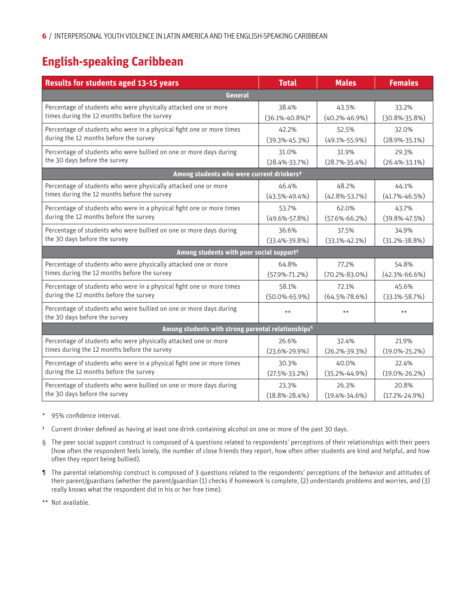# **English-speaking Caribbean**

| <b>Results for students aged 13-15 years</b>                                                        | <b>Total</b>         | <b>Males</b>        | <b>Females</b>      |  |
|-----------------------------------------------------------------------------------------------------|----------------------|---------------------|---------------------|--|
| General                                                                                             |                      |                     |                     |  |
| Percentage of students who were physically attacked one or more                                     | 38.4%                | 43.5%               | 33.2%               |  |
| times during the 12 months before the survey                                                        | $(36.1\% - 40.8\%)*$ | $(40.2\% - 46.9\%)$ | $(30.8\% - 35.8\%)$ |  |
| Percentage of students who were in a physical fight one or more times                               | 42.2%                | 52.5%               | 32.0%               |  |
| during the 12 months before the survey                                                              | $(39.3\% - 45.3\%)$  | $(49.1\% - 55.9\%)$ | $(28.9\% - 35.1\%)$ |  |
| Percentage of students who were bullied on one or more days during                                  | 31.0%                | 31.9%               | 29.3%               |  |
| the 30 days before the survey                                                                       | $(28.4\% - 33.7\%)$  | $(28.7\% - 35.4\%)$ | $(26.4\% - 33.1\%)$ |  |
| Among students who were current drinkerst                                                           |                      |                     |                     |  |
| Percentage of students who were physically attacked one or more                                     | 46.4%                | 48.2%               | 44.1%               |  |
| times during the 12 months before the survey                                                        | $(43.5\% - 49.4\%)$  | $(42.8\% - 53.7\%)$ | $(41.7\% - 46.5\%)$ |  |
| Percentage of students who were in a physical fight one or more times                               | 53.7%                | 62.0%               | 43.7%               |  |
| during the 12 months before the survey                                                              | $(49.6\% - 57.8\%)$  | $(57.6\% - 66.2\%)$ | $(39.8\% - 47.5\%)$ |  |
| Percentage of students who were bullied on one or more days during                                  | 36.6%                | 37.5%               | 34.9%               |  |
| the 30 days before the survey                                                                       | $(33.4\% - 39.8\%)$  | $(33.1\% - 42.1\%)$ | $(31.2\% - 38.8\%)$ |  |
| Among students with poor social support <sup>s</sup>                                                |                      |                     |                     |  |
| Percentage of students who were physically attacked one or more                                     | 64.8%                | 77.2%               | 54.8%               |  |
| times during the 12 months before the survey                                                        | $(57.9\% - 71.2\%)$  | $(70.2\% - 83.0\%)$ | $(42.3\% - 66.6\%)$ |  |
| Percentage of students who were in a physical fight one or more times                               | 58.1%                | 72.1%               | 45.6%               |  |
| during the 12 months before the survey                                                              | $(50.0\% - 65.9\%)$  | $(64.5\% - 78.6\%)$ | $(33.1\% - 58.7\%)$ |  |
| Percentage of students who were bullied on one or more days during<br>the 30 days before the survey | $**$                 | $***$               | $***$               |  |
| Among students with strong parental relationships <sup>1</sup>                                      |                      |                     |                     |  |
| Percentage of students who were physically attacked one or more                                     | 26.6%                | 32.4%               | 21.9%               |  |
| times during the 12 months before the survey                                                        | $(23.6\% - 29.9\%)$  | $(26.2\% - 39.3\%)$ | $(19.0\% - 25.2\%)$ |  |
| Percentage of students who were in a physical fight one or more times                               | 30.3%                | 40.0%               | 22.4%               |  |
| during the 12 months before the survey                                                              | $(27.5\% - 33.2\%)$  | $(35.2\% - 44.9\%)$ | $(19.0\% - 26.2\%)$ |  |
| Percentage of students who were bullied on one or more days during                                  | 23.3%                | 26.3%               | 20.8%               |  |
| the 30 days before the survey                                                                       | $(18.8\% - 28.4\%)$  | $(19.4\% - 34.6\%)$ | $(17.2\% - 24.9\%)$ |  |

- \* 95% confidence interval.
- † Current drinker defined as having at least one drink containing alcohol on one or more of the past 30 days.
- § The peer social support construct is composed of 4 questions related to respondents' perceptions of their relationships with their peers (how often the respondent feels lonely, the number of close friends they report, how often other students are kind and helpful, and how often they report being bullied).
- ¶ The parental relationship construct is composed of 3 questions related to the respondents' perceptions of the behavior and attitudes of their parent/guardians (whether the parent/guardian (1) checks if homework is complete, (2) understands problems and worries, and (3) really knows what the respondent did in his or her free time).
- \*\* Not available.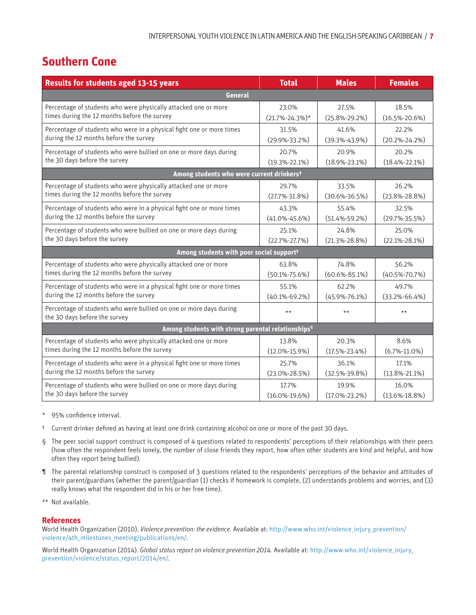## **Southern Cone**

| <b>Results for students aged 13-15 years</b>                                                        | <b>Total</b>         | <b>Males</b>        | <b>Females</b>      |  |  |
|-----------------------------------------------------------------------------------------------------|----------------------|---------------------|---------------------|--|--|
| <b>General</b>                                                                                      |                      |                     |                     |  |  |
| Percentage of students who were physically attacked one or more                                     | 23.0%                | 27.5%               | 18.5%               |  |  |
| times during the 12 months before the survey                                                        | $(21.7\% - 24.3\%)*$ | $(25.8\% - 29.2\%)$ | $(16.5\% - 20.6\%)$ |  |  |
| Percentage of students who were in a physical fight one or more times                               | 31.5%                | 41.6%               | 22.2%               |  |  |
| during the 12 months before the survey                                                              | $(29.9\% - 33.2\%)$  | $(39.3\% - 43.9\%)$ | $(20.2\% - 24.2\%)$ |  |  |
| Percentage of students who were bullied on one or more days during                                  | 20.7%                | 20.9%               | 20.2%               |  |  |
| the 30 days before the survey                                                                       | $(19.3\% - 22.1\%)$  | $(18.9\% - 23.1\%)$ | $(18.4\% - 22.1\%)$ |  |  |
| Among students who were current drinkerst                                                           |                      |                     |                     |  |  |
| Percentage of students who were physically attacked one or more                                     | 29.7%                | 33.5%               | 26.2%               |  |  |
| times during the 12 months before the survey                                                        | $(27.7\% - 31.8\%)$  | $(30.6\% - 36.5\%)$ | $(23.8\% - 28.8\%)$ |  |  |
| Percentage of students who were in a physical fight one or more times                               | 43.3%                | 55.4%               | 32.5%               |  |  |
| during the 12 months before the survey                                                              | $(41.0\% - 45.6\%)$  | $(51.4\% - 59.2\%)$ | $(29.7\% - 35.5\%)$ |  |  |
| Percentage of students who were bullied on one or more days during                                  | 25.1%                | 24.8%               | 25.0%               |  |  |
| the 30 days before the survey                                                                       | $(22.7\% - 27.7\%)$  | $(21.3\% - 28.8\%)$ | $(22.1\% - 28.1\%)$ |  |  |
| Among students with poor social support <sup>s</sup>                                                |                      |                     |                     |  |  |
| Percentage of students who were physically attacked one or more                                     | 63.8%                | 74.8%               | 56.2%               |  |  |
| times during the 12 months before the survey                                                        | $(50.1\% - 75.6\%)$  | $(60.6\% - 85.1\%)$ | $(40.5\% - 70.7\%)$ |  |  |
| Percentage of students who were in a physical fight one or more times                               | 55.1%                | 62.2%               | 49.7%               |  |  |
| during the 12 months before the survey                                                              | $(40.1\% - 69.2\%)$  | $(45.9\% - 76.1\%)$ | $(33.2\% - 66.4\%)$ |  |  |
| Percentage of students who were bullied on one or more days during<br>the 30 days before the survey | $\star\star$         | $\star\star$        | $***$               |  |  |
| Among students with strong parental relationships <sup>1</sup>                                      |                      |                     |                     |  |  |
| Percentage of students who were physically attacked one or more                                     | 13.8%                | 20.3%               | 8.6%                |  |  |
| times during the 12 months before the survey                                                        | $(12.0\% - 15.9\%)$  | $(17.5\% - 23.4\%)$ | $(6.7\% - 11.0\%)$  |  |  |
| Percentage of students who were in a physical fight one or more times                               | 25.7%                | 36.1%               | 17.1%               |  |  |
| during the 12 months before the survey                                                              | $(23.0\% - 28.5\%)$  | $(32.5\% - 39.8\%)$ | $(13.8\% - 21.1\%)$ |  |  |
| Percentage of students who were bullied on one or more days during                                  | 17.7%                | 19.9%               | 16.0%               |  |  |
| the 30 days before the survey                                                                       | $(16.0\% - 19.6\%)$  | $(17.0\% - 23.2\%)$ | $(13.6\% - 18.8\%)$ |  |  |

- \* 95% confidence interval.
- † Current drinker defined as having at least one drink containing alcohol on one or more of the past 30 days.
- § The peer social support construct is composed of 4 questions related to respondents' perceptions of their relationships with their peers (how often the respondent feels lonely, the number of close friends they report, how often other students are kind and helpful, and how often they report being bullied).
- ¶ The parental relationship construct is composed of 3 questions related to the respondents' perceptions of the behavior and attitudes of their parent/guardians (whether the parent/guardian (1) checks if homework is complete, (2) understands problems and worries, and (3) really knows what the respondent did in his or her free time).
- \*\* Not available.

#### **References**

World Health Organization (2010). *Violence prevention: the evidence.* Available at: [http://www.who.int/violence\\_injury\\_prevention/](http://www.who.int/violence_injury_prevention/violence/4th_milestones_meeting/publications/en/) [violence/4th\\_milestones\\_meeting/publications/en/](http://www.who.int/violence_injury_prevention/violence/4th_milestones_meeting/publications/en/).

World Health Organization (2014). *Global status report on violence prevention 2014.* Available at: [http://www.who.int/violence\\_injury\\_](http://www.who.int/violence_injury_prevention/violence/status_report/2014/en/) [prevention/violence/status\\_report/2014/en/](http://www.who.int/violence_injury_prevention/violence/status_report/2014/en/).